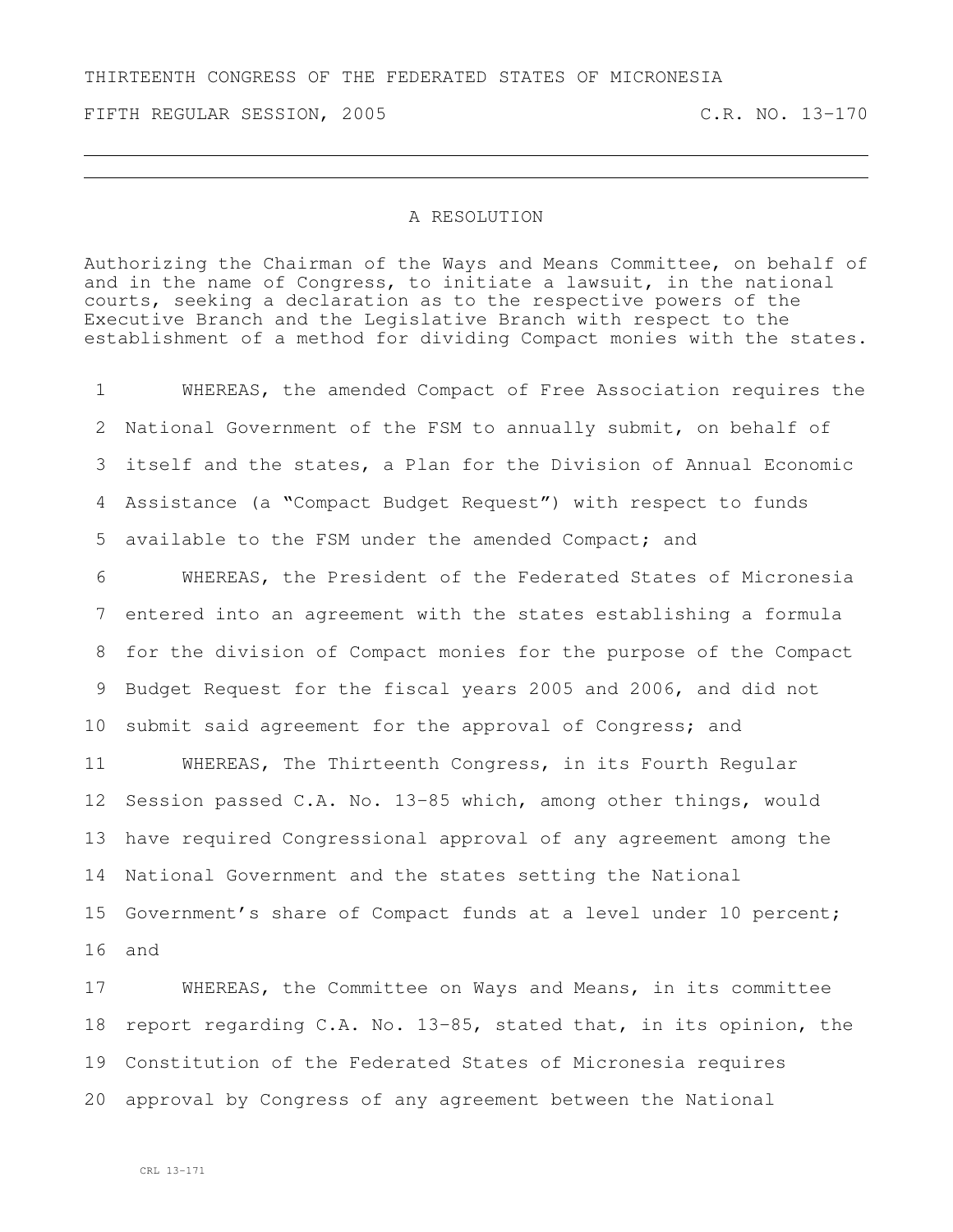## THIRTEENTH CONGRESS OF THE FEDERATED STATES OF MICRONESIA

FIFTH REGULAR SESSION, 2005 C.R. NO. 13-170

## A RESOLUTION

Authorizing the Chairman of the Ways and Means Committee, on behalf of and in the name of Congress, to initiate a lawsuit, in the national courts, seeking a declaration as to the respective powers of the Executive Branch and the Legislative Branch with respect to the establishment of a method for dividing Compact monies with the states.

 WHEREAS, the amended Compact of Free Association requires the National Government of the FSM to annually submit, on behalf of itself and the states, a Plan for the Division of Annual Economic Assistance (a "Compact Budget Request") with respect to funds available to the FSM under the amended Compact; and

 WHEREAS, the President of the Federated States of Micronesia entered into an agreement with the states establishing a formula for the division of Compact monies for the purpose of the Compact Budget Request for the fiscal years 2005 and 2006, and did not 10 submit said agreement for the approval of Congress; and

 WHEREAS, The Thirteenth Congress, in its Fourth Regular Session passed C.A. No. 13-85 which, among other things, would have required Congressional approval of any agreement among the National Government and the states setting the National Government's share of Compact funds at a level under 10 percent; and

 WHEREAS, the Committee on Ways and Means, in its committee report regarding C.A. No. 13-85, stated that, in its opinion, the Constitution of the Federated States of Micronesia requires approval by Congress of any agreement between the National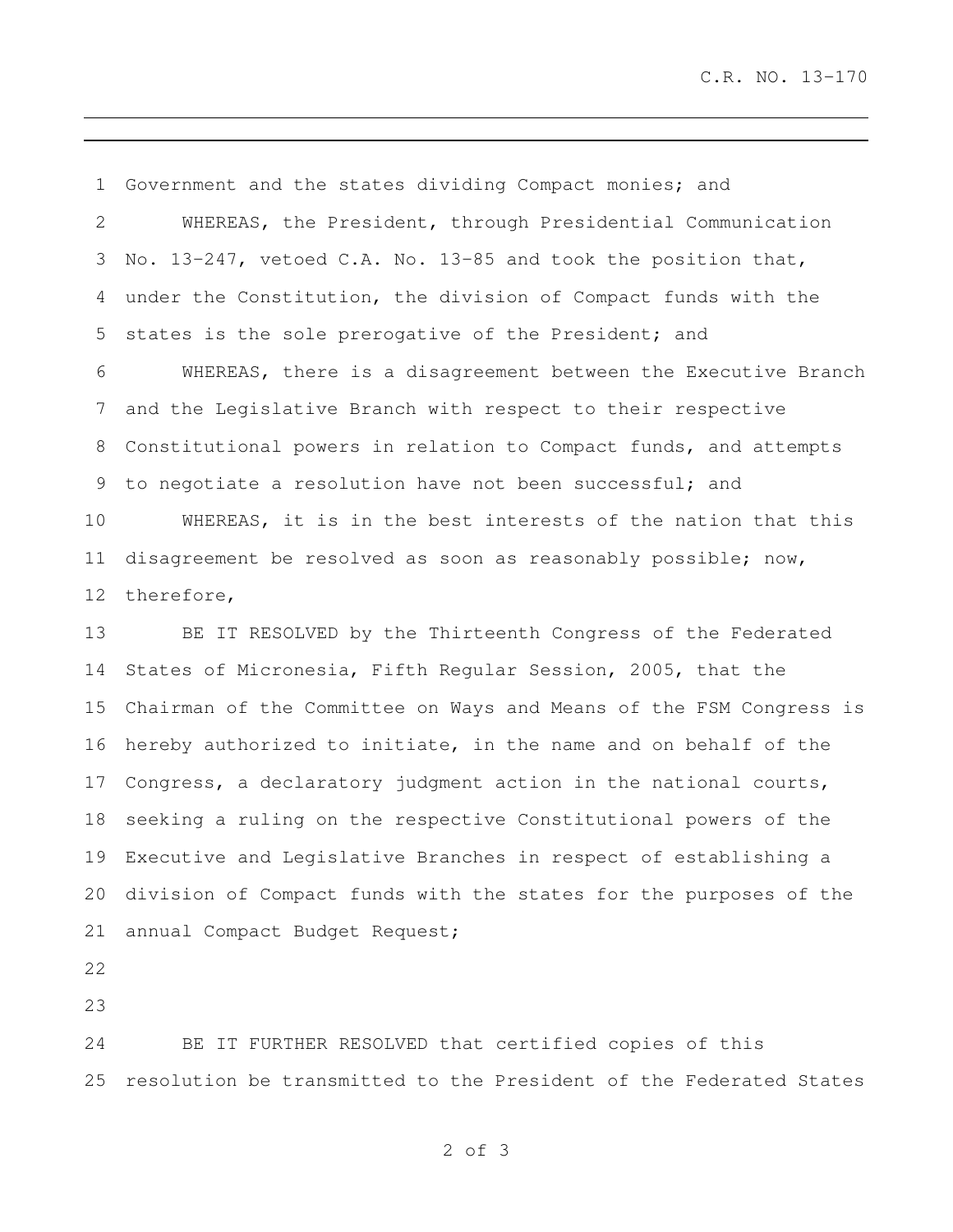Government and the states dividing Compact monies; and WHEREAS, the President, through Presidential Communication No. 13-247, vetoed C.A. No. 13-85 and took the position that, under the Constitution, the division of Compact funds with the states is the sole prerogative of the President; and WHEREAS, there is a disagreement between the Executive Branch and the Legislative Branch with respect to their respective Constitutional powers in relation to Compact funds, and attempts to negotiate a resolution have not been successful; and WHEREAS, it is in the best interests of the nation that this disagreement be resolved as soon as reasonably possible; now, therefore, BE IT RESOLVED by the Thirteenth Congress of the Federated States of Micronesia, Fifth Regular Session, 2005, that the Chairman of the Committee on Ways and Means of the FSM Congress is hereby authorized to initiate, in the name and on behalf of the Congress, a declaratory judgment action in the national courts, seeking a ruling on the respective Constitutional powers of the Executive and Legislative Branches in respect of establishing a division of Compact funds with the states for the purposes of the

annual Compact Budget Request;

 BE IT FURTHER RESOLVED that certified copies of this resolution be transmitted to the President of the Federated States

of 3